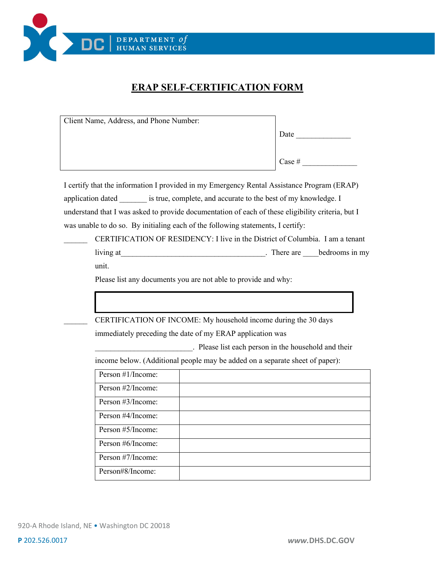

## **ERAP SELF-CERTIFICATION FORM**

| Client Name, Address, and Phone Number:                                                           |  |                                                                                                                                                                                                                               |
|---------------------------------------------------------------------------------------------------|--|-------------------------------------------------------------------------------------------------------------------------------------------------------------------------------------------------------------------------------|
|                                                                                                   |  | Date and the same state of the state of the state of the state of the state of the state of the state of the state of the state of the state of the state of the state of the state of the state of the state of the state of |
|                                                                                                   |  |                                                                                                                                                                                                                               |
|                                                                                                   |  | Case #                                                                                                                                                                                                                        |
|                                                                                                   |  |                                                                                                                                                                                                                               |
| I certify that the information I provided in my Emergency Rental Assistance Program (ERAP)        |  |                                                                                                                                                                                                                               |
| application dated _________ is true, complete, and accurate to the best of my knowledge. I        |  |                                                                                                                                                                                                                               |
| understand that I was asked to provide documentation of each of these eligibility criteria, but I |  |                                                                                                                                                                                                                               |
| was unable to do so. By initialing each of the following statements, I certify:                   |  |                                                                                                                                                                                                                               |
| CERTIFICATION OF RESIDENCY: I live in the District of Columbia. I am a tenant                     |  |                                                                                                                                                                                                                               |
|                                                                                                   |  |                                                                                                                                                                                                                               |
| unit.                                                                                             |  |                                                                                                                                                                                                                               |
| Please list any documents you are not able to provide and why:                                    |  |                                                                                                                                                                                                                               |
|                                                                                                   |  |                                                                                                                                                                                                                               |
|                                                                                                   |  |                                                                                                                                                                                                                               |
| CERTIFICATION OF INCOME: My household income during the 30 days                                   |  |                                                                                                                                                                                                                               |
| immediately preceding the date of my ERAP application was                                         |  |                                                                                                                                                                                                                               |
| . Please list each person in the household and their                                              |  |                                                                                                                                                                                                                               |
| income below. (Additional people may be added on a separate sheet of paper):                      |  |                                                                                                                                                                                                                               |
| Person #1/Income:                                                                                 |  |                                                                                                                                                                                                                               |
| Person #2/Income:                                                                                 |  |                                                                                                                                                                                                                               |
| Person #3/Income:                                                                                 |  |                                                                                                                                                                                                                               |
| Person #4/Income:                                                                                 |  |                                                                                                                                                                                                                               |
| Person #5/Income:                                                                                 |  |                                                                                                                                                                                                                               |
| Person #6/Income:                                                                                 |  |                                                                                                                                                                                                                               |
| Person #7/Income:                                                                                 |  |                                                                                                                                                                                                                               |
| Person#8/Income:                                                                                  |  |                                                                                                                                                                                                                               |
|                                                                                                   |  |                                                                                                                                                                                                                               |

920-A Rhode Island, NE • Washington DC 20018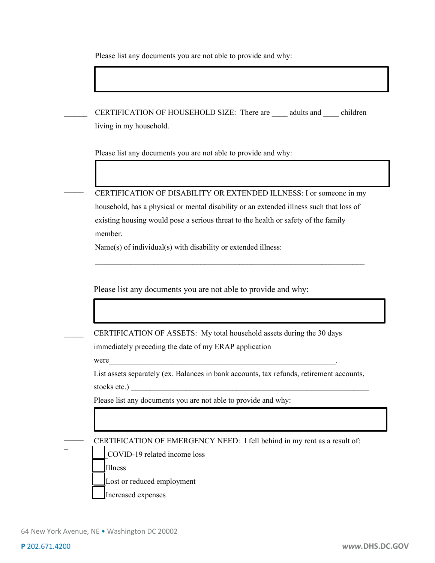Please list any documents you are not able to provide and why:

CERTIFICATION OF HOUSEHOLD SIZE: There are \_\_\_\_ adults and \_\_\_\_ children living in my household.

Please list any documents you are not able to provide and why:

CERTIFICATION OF DISABILITY OR EXTENDED ILLNESS: I or someone in my household, has a physical or mental disability or an extended illness such that loss of existing housing would pose a serious threat to the health or safety of the family

\_\_\_\_\_\_\_\_\_\_\_\_\_\_\_\_\_\_\_\_\_\_\_\_\_\_\_\_\_\_\_\_\_\_\_\_\_\_\_\_\_\_\_\_\_\_\_\_\_\_\_\_\_\_\_\_\_\_\_\_\_\_\_\_\_\_\_\_\_

member.

 $\mathcal{L}=\mathcal{L}$ 

 $\overline{\phantom{a}}$ 

 $\mathcal{L}$ 

 $\mathcal{L}$  $\overline{\phantom{a}}$ 

Name(s) of individual(s) with disability or extended illness:

Please list any documents you are not able to provide and why:

CERTIFICATION OF ASSETS: My total household assets during the 30 days

immediately preceding the date of my ERAP application

were  $\blacksquare$ 

List assets separately (ex. Balances in bank accounts, tax refunds, retirement accounts,

stocks etc.)

Please list any documents you are not able to provide and why:

CERTIFICATION OF EMERGENCY NEED: I fell behind in my rent as a result of:

\_\_\_COVID-19 related income loss

\_\_\_Illness

Lost or reduced employment

Increased expenses